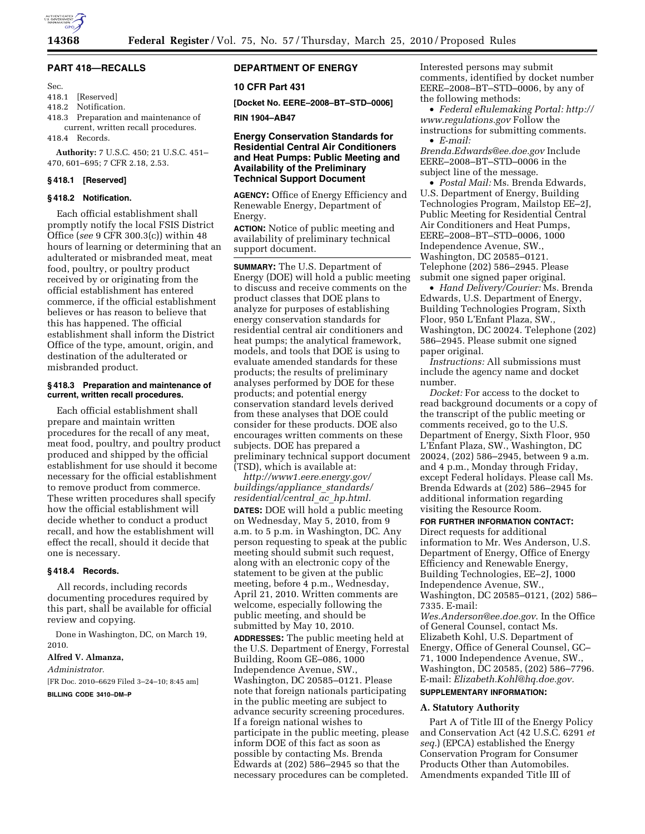

# **PART 418—RECALLS**

Sec.

# 418.1 [Reserved]

- 418.2 Notification.
- 418.3 Preparation and maintenance of current, written recall procedures.

418.4 Records.

**Authority:** 7 U.S.C. 450; 21 U.S.C. 451– 470, 601–695; 7 CFR 2.18, 2.53.

## **§ 418.1 [Reserved]**

## **§ 418.2 Notification.**

Each official establishment shall promptly notify the local FSIS District Office (*see* 9 CFR 300.3(c)) within 48 hours of learning or determining that an adulterated or misbranded meat, meat food, poultry, or poultry product received by or originating from the official establishment has entered commerce, if the official establishment believes or has reason to believe that this has happened. The official establishment shall inform the District Office of the type, amount, origin, and destination of the adulterated or misbranded product.

#### **§ 418.3 Preparation and maintenance of current, written recall procedures.**

Each official establishment shall prepare and maintain written procedures for the recall of any meat, meat food, poultry, and poultry product produced and shipped by the official establishment for use should it become necessary for the official establishment to remove product from commerce. These written procedures shall specify how the official establishment will decide whether to conduct a product recall, and how the establishment will effect the recall, should it decide that one is necessary.

### **§ 418.4 Records.**

All records, including records documenting procedures required by this part, shall be available for official review and copying.

Done in Washington, DC, on March 19, 2010.

#### **Alfred V. Almanza,**

*Administrator.*  [FR Doc. 2010–6629 Filed 3–24–10; 8:45 am]

**BILLING CODE 3410–DM–P** 

# **DEPARTMENT OF ENERGY**

#### **10 CFR Part 431**

**[Docket No. EERE–2008–BT–STD–0006]** 

**RIN 1904–AB47** 

## **Energy Conservation Standards for Residential Central Air Conditioners and Heat Pumps: Public Meeting and Availability of the Preliminary Technical Support Document**

**AGENCY:** Office of Energy Efficiency and Renewable Energy, Department of Energy.

**ACTION:** Notice of public meeting and availability of preliminary technical support document.

**SUMMARY:** The U.S. Department of Energy (DOE) will hold a public meeting to discuss and receive comments on the product classes that DOE plans to analyze for purposes of establishing energy conservation standards for residential central air conditioners and heat pumps; the analytical framework, models, and tools that DOE is using to evaluate amended standards for these products; the results of preliminary analyses performed by DOE for these products; and potential energy conservation standard levels derived from these analyses that DOE could consider for these products. DOE also encourages written comments on these subjects. DOE has prepared a preliminary technical support document (TSD), which is available at:

*http://www1.eere.energy.gov/ buildings/appliance*\_*standards/ residential/central*\_*ac*\_*hp.html.*  **DATES:** DOE will hold a public meeting on Wednesday, May 5, 2010, from 9 a.m. to 5 p.m. in Washington, DC. Any person requesting to speak at the public meeting should submit such request, along with an electronic copy of the statement to be given at the public meeting, before 4 p.m., Wednesday, April 21, 2010. Written comments are welcome, especially following the public meeting, and should be submitted by May 10, 2010. **ADDRESSES:** The public meeting held at the U.S. Department of Energy, Forrestal Building, Room GE–086, 1000 Independence Avenue, SW., Washington, DC 20585–0121. Please note that foreign nationals participating in the public meeting are subject to advance security screening procedures. If a foreign national wishes to participate in the public meeting, please inform DOE of this fact as soon as possible by contacting Ms. Brenda Edwards at (202) 586–2945 so that the necessary procedures can be completed.

Interested persons may submit comments, identified by docket number EERE–2008–BT–STD–0006, by any of the following methods:

• *Federal eRulemaking Portal: http:// www.regulations.gov* Follow the instructions for submitting comments. • *E-mail:* 

*Brenda.Edwards@ee.doe.gov* Include EERE–2008–BT–STD–0006 in the subject line of the message.

• *Postal Mail:* Ms. Brenda Edwards, U.S. Department of Energy, Building Technologies Program, Mailstop EE–2J, Public Meeting for Residential Central Air Conditioners and Heat Pumps, EERE–2008–BT–STD–0006, 1000 Independence Avenue, SW., Washington, DC 20585–0121. Telephone (202) 586–2945. Please submit one signed paper original.

• *Hand Delivery/Courier:* Ms. Brenda Edwards, U.S. Department of Energy, Building Technologies Program, Sixth Floor, 950 L'Enfant Plaza, SW., Washington, DC 20024. Telephone (202) 586–2945. Please submit one signed paper original.

*Instructions:* All submissions must include the agency name and docket number.

*Docket:* For access to the docket to read background documents or a copy of the transcript of the public meeting or comments received, go to the U.S. Department of Energy, Sixth Floor, 950 L'Enfant Plaza, SW., Washington, DC 20024, (202) 586–2945, between 9 a.m. and 4 p.m., Monday through Friday, except Federal holidays. Please call Ms. Brenda Edwards at (202) 586–2945 for additional information regarding visiting the Resource Room.

#### **FOR FURTHER INFORMATION CONTACT:**

Direct requests for additional information to Mr. Wes Anderson, U.S. Department of Energy, Office of Energy Efficiency and Renewable Energy, Building Technologies, EE–2J, 1000 Independence Avenue, SW., Washington, DC 20585–0121, (202) 586– 7335. E-mail: *Wes.Anderson@ee.doe.gov*. In the Office

of General Counsel, contact Ms. Elizabeth Kohl, U.S. Department of Energy, Office of General Counsel, GC– 71, 1000 Independence Avenue, SW., Washington, DC 20585, (202) 586–7796. E-mail: *Elizabeth.Kohl@hq.doe.gov.* 

# **SUPPLEMENTARY INFORMATION:**

## **A. Statutory Authority**

Part A of Title III of the Energy Policy and Conservation Act (42 U.S.C. 6291 *et seq.*) (EPCA) established the Energy Conservation Program for Consumer Products Other than Automobiles. Amendments expanded Title III of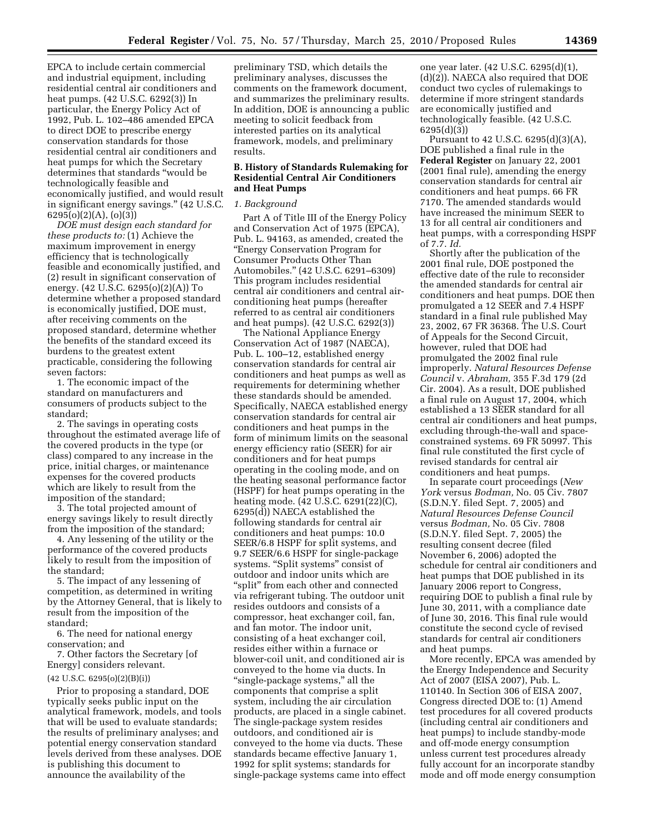EPCA to include certain commercial and industrial equipment, including residential central air conditioners and heat pumps. (42 U.S.C. 6292(3)) In particular, the Energy Policy Act of 1992, Pub. L. 102–486 amended EPCA to direct DOE to prescribe energy conservation standards for those residential central air conditioners and heat pumps for which the Secretary determines that standards ''would be technologically feasible and economically justified, and would result in significant energy savings.'' (42 U.S.C. 6295(o)(2)(A), (o)(3))

*DOE must design each standard for these products to:* (1) Achieve the maximum improvement in energy efficiency that is technologically feasible and economically justified, and (2) result in significant conservation of energy. (42 U.S.C. 6295(o)(2)(A)) To determine whether a proposed standard is economically justified, DOE must, after receiving comments on the proposed standard, determine whether the benefits of the standard exceed its burdens to the greatest extent practicable, considering the following seven factors:

1. The economic impact of the standard on manufacturers and consumers of products subject to the standard;

2. The savings in operating costs throughout the estimated average life of the covered products in the type (or class) compared to any increase in the price, initial charges, or maintenance expenses for the covered products which are likely to result from the imposition of the standard;

3. The total projected amount of energy savings likely to result directly from the imposition of the standard;

4. Any lessening of the utility or the performance of the covered products likely to result from the imposition of the standard;

5. The impact of any lessening of competition, as determined in writing by the Attorney General, that is likely to result from the imposition of the standard;

6. The need for national energy conservation; and

7. Other factors the Secretary [of Energy] considers relevant.

#### (42 U.S.C. 6295(o)(2)(B)(i))

Prior to proposing a standard, DOE typically seeks public input on the analytical framework, models, and tools that will be used to evaluate standards; the results of preliminary analyses; and potential energy conservation standard levels derived from these analyses. DOE is publishing this document to announce the availability of the

preliminary TSD, which details the preliminary analyses, discusses the comments on the framework document, and summarizes the preliminary results. In addition, DOE is announcing a public meeting to solicit feedback from interested parties on its analytical framework, models, and preliminary results.

### **B. History of Standards Rulemaking for Residential Central Air Conditioners and Heat Pumps**

#### *1. Background*

Part A of Title III of the Energy Policy and Conservation Act of 1975 (EPCA), Pub. L. 94163, as amended, created the ''Energy Conservation Program for Consumer Products Other Than Automobiles.'' (42 U.S.C. 6291–6309) This program includes residential central air conditioners and central airconditioning heat pumps (hereafter referred to as central air conditioners and heat pumps). (42 U.S.C. 6292(3))

The National Appliance Energy Conservation Act of 1987 (NAECA), Pub. L. 100–12, established energy conservation standards for central air conditioners and heat pumps as well as requirements for determining whether these standards should be amended. Specifically, NAECA established energy conservation standards for central air conditioners and heat pumps in the form of minimum limits on the seasonal energy efficiency ratio (SEER) for air conditioners and for heat pumps operating in the cooling mode, and on the heating seasonal performance factor (HSPF) for heat pumps operating in the heating mode. (42 U.S.C. 6291(22)(C), 6295(d)) NAECA established the following standards for central air conditioners and heat pumps: 10.0 SEER/6.8 HSPF for split systems, and 9.7 SEER/6.6 HSPF for single-package systems. "Split systems" consist of outdoor and indoor units which are ''split'' from each other and connected via refrigerant tubing. The outdoor unit resides outdoors and consists of a compressor, heat exchanger coil, fan, and fan motor. The indoor unit, consisting of a heat exchanger coil, resides either within a furnace or blower-coil unit, and conditioned air is conveyed to the home via ducts. In ''single-package systems,'' all the components that comprise a split system, including the air circulation products, are placed in a single cabinet. The single-package system resides outdoors, and conditioned air is conveyed to the home via ducts. These standards became effective January 1, 1992 for split systems; standards for single-package systems came into effect

one year later. (42 U.S.C. 6295(d)(1), (d)(2)). NAECA also required that DOE conduct two cycles of rulemakings to determine if more stringent standards are economically justified and technologically feasible. (42 U.S.C. 6295(d)(3))

Pursuant to 42 U.S.C. 6295(d)(3)(A), DOE published a final rule in the **Federal Register** on January 22, 2001 (2001 final rule), amending the energy conservation standards for central air conditioners and heat pumps. 66 FR 7170. The amended standards would have increased the minimum SEER to 13 for all central air conditioners and heat pumps, with a corresponding HSPF of 7.7. *Id.* 

Shortly after the publication of the 2001 final rule, DOE postponed the effective date of the rule to reconsider the amended standards for central air conditioners and heat pumps. DOE then promulgated a 12 SEER and 7.4 HSPF standard in a final rule published May 23, 2002, 67 FR 36368. The U.S. Court of Appeals for the Second Circuit, however, ruled that DOE had promulgated the 2002 final rule improperly. *Natural Resources Defense Council* v. *Abraham,* 355 F.3d 179 (2d Cir. 2004). As a result, DOE published a final rule on August 17, 2004, which established a 13 SEER standard for all central air conditioners and heat pumps, excluding through-the-wall and spaceconstrained systems. 69 FR 50997. This final rule constituted the first cycle of revised standards for central air conditioners and heat pumps.

In separate court proceedings (*New York* versus *Bodman,* No. 05 Civ. 7807 (S.D.N.Y. filed Sept. 7, 2005) and *Natural Resources Defense Council*  versus *Bodman,* No. 05 Civ. 7808 (S.D.N.Y. filed Sept. 7, 2005) the resulting consent decree (filed November 6, 2006) adopted the schedule for central air conditioners and heat pumps that DOE published in its January 2006 report to Congress, requiring DOE to publish a final rule by June 30, 2011, with a compliance date of June 30, 2016. This final rule would constitute the second cycle of revised standards for central air conditioners and heat pumps.

More recently, EPCA was amended by the Energy Independence and Security Act of 2007 (EISA 2007), Pub. L. 110140. In Section 306 of EISA 2007, Congress directed DOE to: (1) Amend test procedures for all covered products (including central air conditioners and heat pumps) to include standby-mode and off-mode energy consumption unless current test procedures already fully account for an incorporate standby mode and off mode energy consumption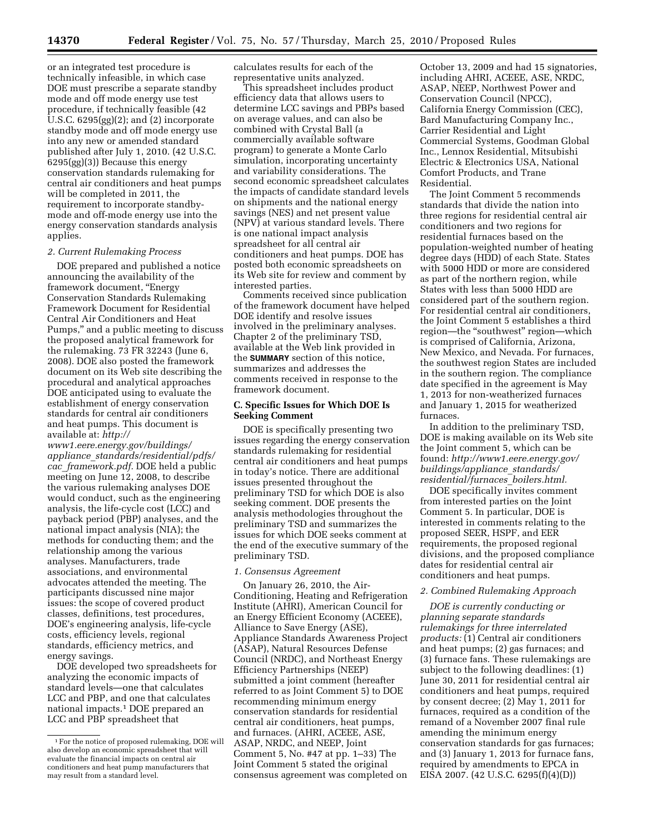or an integrated test procedure is technically infeasible, in which case DOE must prescribe a separate standby mode and off mode energy use test procedure, if technically feasible (42 U.S.C. 6295(gg)(2); and (2) incorporate standby mode and off mode energy use into any new or amended standard published after July 1, 2010. (42 U.S.C. 6295(gg)(3)) Because this energy conservation standards rulemaking for central air conditioners and heat pumps will be completed in 2011, the requirement to incorporate standbymode and off-mode energy use into the energy conservation standards analysis applies.

#### *2. Current Rulemaking Process*

DOE prepared and published a notice announcing the availability of the framework document, ''Energy Conservation Standards Rulemaking Framework Document for Residential Central Air Conditioners and Heat Pumps,'' and a public meeting to discuss the proposed analytical framework for the rulemaking. 73 FR 32243 (June 6, 2008). DOE also posted the framework document on its Web site describing the procedural and analytical approaches DOE anticipated using to evaluate the establishment of energy conservation standards for central air conditioners and heat pumps. This document is available at: *http://* 

*www1.eere.energy.gov/buildings/ appliance*\_*standards/residential/pdfs/ cac*\_*framework.pdf.* DOE held a public meeting on June 12, 2008, to describe the various rulemaking analyses DOE would conduct, such as the engineering analysis, the life-cycle cost (LCC) and payback period (PBP) analyses, and the national impact analysis (NIA); the methods for conducting them; and the relationship among the various analyses. Manufacturers, trade associations, and environmental advocates attended the meeting. The participants discussed nine major issues: the scope of covered product classes, definitions, test procedures, DOE's engineering analysis, life-cycle costs, efficiency levels, regional standards, efficiency metrics, and energy savings.

DOE developed two spreadsheets for analyzing the economic impacts of standard levels—one that calculates LCC and PBP, and one that calculates national impacts.1 DOE prepared an LCC and PBP spreadsheet that

calculates results for each of the representative units analyzed.

This spreadsheet includes product efficiency data that allows users to determine LCC savings and PBPs based on average values, and can also be combined with Crystal Ball (a commercially available software program) to generate a Monte Carlo simulation, incorporating uncertainty and variability considerations. The second economic spreadsheet calculates the impacts of candidate standard levels on shipments and the national energy savings (NES) and net present value (NPV) at various standard levels. There is one national impact analysis spreadsheet for all central air conditioners and heat pumps. DOE has posted both economic spreadsheets on its Web site for review and comment by interested parties.

Comments received since publication of the framework document have helped DOE identify and resolve issues involved in the preliminary analyses. Chapter 2 of the preliminary TSD, available at the Web link provided in the **SUMMARY** section of this notice, summarizes and addresses the comments received in response to the framework document.

## **C. Specific Issues for Which DOE Is Seeking Comment**

DOE is specifically presenting two issues regarding the energy conservation standards rulemaking for residential central air conditioners and heat pumps in today's notice. There are additional issues presented throughout the preliminary TSD for which DOE is also seeking comment. DOE presents the analysis methodologies throughout the preliminary TSD and summarizes the issues for which DOE seeks comment at the end of the executive summary of the preliminary TSD.

# *1. Consensus Agreement*

On January 26, 2010, the Air-Conditioning, Heating and Refrigeration Institute (AHRI), American Council for an Energy Efficient Economy (ACEEE), Alliance to Save Energy (ASE), Appliance Standards Awareness Project (ASAP), Natural Resources Defense Council (NRDC), and Northeast Energy Efficiency Partnerships (NEEP) submitted a joint comment (hereafter referred to as Joint Comment 5) to DOE recommending minimum energy conservation standards for residential central air conditioners, heat pumps, and furnaces. (AHRI, ACEEE, ASE, ASAP, NRDC, and NEEP, Joint Comment 5, No. #47 at pp. 1–33) The Joint Comment 5 stated the original consensus agreement was completed on

October 13, 2009 and had 15 signatories, including AHRI, ACEEE, ASE, NRDC, ASAP, NEEP, Northwest Power and Conservation Council (NPCC), California Energy Commission (CEC), Bard Manufacturing Company Inc., Carrier Residential and Light Commercial Systems, Goodman Global Inc., Lennox Residential, Mitsubishi Electric & Electronics USA, National Comfort Products, and Trane Residential.

The Joint Comment 5 recommends standards that divide the nation into three regions for residential central air conditioners and two regions for residential furnaces based on the population-weighted number of heating degree days (HDD) of each State. States with 5000 HDD or more are considered as part of the northern region, while States with less than 5000 HDD are considered part of the southern region. For residential central air conditioners, the Joint Comment 5 establishes a third region—the "southwest" region—which is comprised of California, Arizona, New Mexico, and Nevada. For furnaces, the southwest region States are included in the southern region. The compliance date specified in the agreement is May 1, 2013 for non-weatherized furnaces and January 1, 2015 for weatherized furnaces.

In addition to the preliminary TSD, DOE is making available on its Web site the Joint comment 5, which can be found: *http://www1.eere.energy.gov/ buildings/appliance*\_*standards/ residential/furnaces*\_*boilers.html.* 

DOE specifically invites comment from interested parties on the Joint Comment 5. In particular, DOE is interested in comments relating to the proposed SEER, HSPF, and EER requirements, the proposed regional divisions, and the proposed compliance dates for residential central air conditioners and heat pumps.

# *2. Combined Rulemaking Approach*

*DOE is currently conducting or planning separate standards rulemakings for three interrelated products:* (1) Central air conditioners and heat pumps; (2) gas furnaces; and (3) furnace fans. These rulemakings are subject to the following deadlines: (1) June 30, 2011 for residential central air conditioners and heat pumps, required by consent decree; (2) May 1, 2011 for furnaces, required as a condition of the remand of a November 2007 final rule amending the minimum energy conservation standards for gas furnaces; and (3) January 1, 2013 for furnace fans, required by amendments to EPCA in EISA 2007. (42 U.S.C. 6295(f)(4)(D))

<sup>1</sup>For the notice of proposed rulemaking, DOE will also develop an economic spreadsheet that will evaluate the financial impacts on central air conditioners and heat pump manufacturers that may result from a standard level.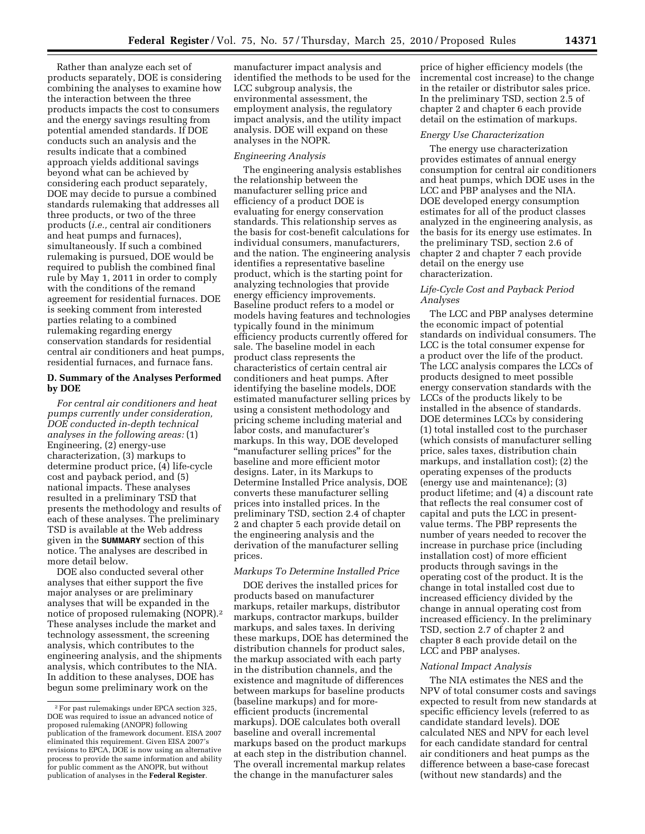Rather than analyze each set of products separately, DOE is considering combining the analyses to examine how the interaction between the three products impacts the cost to consumers and the energy savings resulting from potential amended standards. If DOE conducts such an analysis and the results indicate that a combined approach yields additional savings beyond what can be achieved by considering each product separately, DOE may decide to pursue a combined standards rulemaking that addresses all three products, or two of the three products (*i.e.,* central air conditioners and heat pumps and furnaces), simultaneously. If such a combined rulemaking is pursued, DOE would be required to publish the combined final rule by May 1, 2011 in order to comply with the conditions of the remand agreement for residential furnaces. DOE is seeking comment from interested parties relating to a combined rulemaking regarding energy conservation standards for residential central air conditioners and heat pumps, residential furnaces, and furnace fans.

### **D. Summary of the Analyses Performed by DOE**

*For central air conditioners and heat pumps currently under consideration, DOE conducted in-depth technical analyses in the following areas:* (1) Engineering, (2) energy-use characterization, (3) markups to determine product price, (4) life-cycle cost and payback period, and (5) national impacts. These analyses resulted in a preliminary TSD that presents the methodology and results of each of these analyses. The preliminary TSD is available at the Web address given in the **SUMMARY** section of this notice. The analyses are described in more detail below.

DOE also conducted several other analyses that either support the five major analyses or are preliminary analyses that will be expanded in the notice of proposed rulemaking (NOPR).2 These analyses include the market and technology assessment, the screening analysis, which contributes to the engineering analysis, and the shipments analysis, which contributes to the NIA. In addition to these analyses, DOE has begun some preliminary work on the

manufacturer impact analysis and identified the methods to be used for the LCC subgroup analysis, the environmental assessment, the employment analysis, the regulatory impact analysis, and the utility impact analysis. DOE will expand on these analyses in the NOPR.

#### *Engineering Analysis*

The engineering analysis establishes the relationship between the manufacturer selling price and efficiency of a product DOE is evaluating for energy conservation standards. This relationship serves as the basis for cost-benefit calculations for individual consumers, manufacturers, and the nation. The engineering analysis identifies a representative baseline product, which is the starting point for analyzing technologies that provide energy efficiency improvements. Baseline product refers to a model or models having features and technologies typically found in the minimum efficiency products currently offered for sale. The baseline model in each product class represents the characteristics of certain central air conditioners and heat pumps. After identifying the baseline models, DOE estimated manufacturer selling prices by using a consistent methodology and pricing scheme including material and labor costs, and manufacturer's markups. In this way, DOE developed ''manufacturer selling prices'' for the baseline and more efficient motor designs. Later, in its Markups to Determine Installed Price analysis, DOE converts these manufacturer selling prices into installed prices. In the preliminary TSD, section 2.4 of chapter 2 and chapter 5 each provide detail on the engineering analysis and the derivation of the manufacturer selling prices.

### *Markups To Determine Installed Price*

DOE derives the installed prices for products based on manufacturer markups, retailer markups, distributor markups, contractor markups, builder markups, and sales taxes. In deriving these markups, DOE has determined the distribution channels for product sales, the markup associated with each party in the distribution channels, and the existence and magnitude of differences between markups for baseline products (baseline markups) and for moreefficient products (incremental markups). DOE calculates both overall baseline and overall incremental markups based on the product markups at each step in the distribution channel. The overall incremental markup relates the change in the manufacturer sales

price of higher efficiency models (the incremental cost increase) to the change in the retailer or distributor sales price. In the preliminary TSD, section 2.5 of chapter 2 and chapter 6 each provide detail on the estimation of markups.

#### *Energy Use Characterization*

The energy use characterization provides estimates of annual energy consumption for central air conditioners and heat pumps, which DOE uses in the LCC and PBP analyses and the NIA. DOE developed energy consumption estimates for all of the product classes analyzed in the engineering analysis, as the basis for its energy use estimates. In the preliminary TSD, section 2.6 of chapter 2 and chapter 7 each provide detail on the energy use characterization.

## *Life-Cycle Cost and Payback Period Analyses*

The LCC and PBP analyses determine the economic impact of potential standards on individual consumers. The LCC is the total consumer expense for a product over the life of the product. The LCC analysis compares the LCCs of products designed to meet possible energy conservation standards with the LCCs of the products likely to be installed in the absence of standards. DOE determines LCCs by considering (1) total installed cost to the purchaser (which consists of manufacturer selling price, sales taxes, distribution chain markups, and installation cost); (2) the operating expenses of the products (energy use and maintenance); (3) product lifetime; and (4) a discount rate that reflects the real consumer cost of capital and puts the LCC in presentvalue terms. The PBP represents the number of years needed to recover the increase in purchase price (including installation cost) of more efficient products through savings in the operating cost of the product. It is the change in total installed cost due to increased efficiency divided by the change in annual operating cost from increased efficiency. In the preliminary TSD, section 2.7 of chapter 2 and chapter 8 each provide detail on the LCC and PBP analyses.

#### *National Impact Analysis*

The NIA estimates the NES and the NPV of total consumer costs and savings expected to result from new standards at specific efficiency levels (referred to as candidate standard levels). DOE calculated NES and NPV for each level for each candidate standard for central air conditioners and heat pumps as the difference between a base-case forecast (without new standards) and the

<sup>2</sup>For past rulemakings under EPCA section 325, DOE was required to issue an advanced notice of proposed rulemaking (ANOPR) following publication of the framework document. EISA 2007 eliminated this requirement. Given EISA 2007's revisions to EPCA, DOE is now using an alternative process to provide the same information and ability for public comment as the ANOPR, but without publication of analyses in the **Federal Register**.